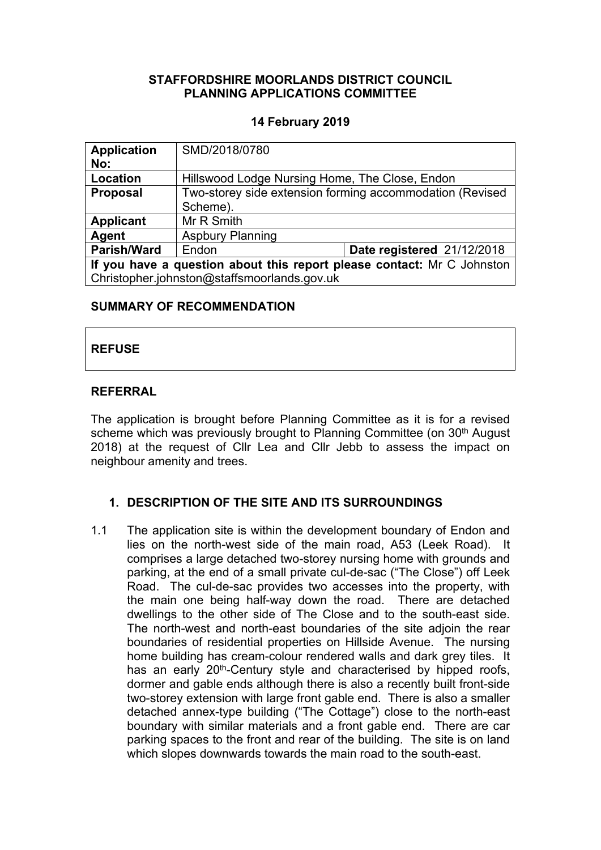## **STAFFORDSHIRE MOORLANDS DISTRICT COUNCIL PLANNING APPLICATIONS COMMITTEE**

### **14 February 2019**

| <b>Application</b><br>No:                                              | SMD/2018/0780                                                        |                            |
|------------------------------------------------------------------------|----------------------------------------------------------------------|----------------------------|
| <b>Location</b>                                                        | Hillswood Lodge Nursing Home, The Close, Endon                       |                            |
| <b>Proposal</b>                                                        | Two-storey side extension forming accommodation (Revised<br>Scheme). |                            |
| <b>Applicant</b>                                                       | Mr R Smith                                                           |                            |
| Agent                                                                  | <b>Aspbury Planning</b>                                              |                            |
| <b>Parish/Ward</b>                                                     | Endon                                                                | Date registered 21/12/2018 |
| If you have a question about this report please contact: Mr C Johnston |                                                                      |                            |
| Christopher.johnston@staffsmoorlands.gov.uk                            |                                                                      |                            |

#### **SUMMARY OF RECOMMENDATION**

# **REFUSE**

## **REFERRAL**

The application is brought before Planning Committee as it is for a revised scheme which was previously brought to Planning Committee (on 30<sup>th</sup> August 2018) at the request of Cllr Lea and Cllr Jebb to assess the impact on neighbour amenity and trees.

## **1. DESCRIPTION OF THE SITE AND ITS SURROUNDINGS**

1.1 The application site is within the development boundary of Endon and lies on the north-west side of the main road, A53 (Leek Road). It comprises a large detached two-storey nursing home with grounds and parking, at the end of a small private cul-de-sac ("The Close") off Leek Road. The cul-de-sac provides two accesses into the property, with the main one being half-way down the road. There are detached dwellings to the other side of The Close and to the south-east side. The north-west and north-east boundaries of the site adjoin the rear boundaries of residential properties on Hillside Avenue. The nursing home building has cream-colour rendered walls and dark grey tiles. It has an early 20<sup>th</sup>-Century style and characterised by hipped roofs, dormer and gable ends although there is also a recently built front-side two-storey extension with large front gable end. There is also a smaller detached annex-type building ("The Cottage") close to the north-east boundary with similar materials and a front gable end. There are car parking spaces to the front and rear of the building. The site is on land which slopes downwards towards the main road to the south-east.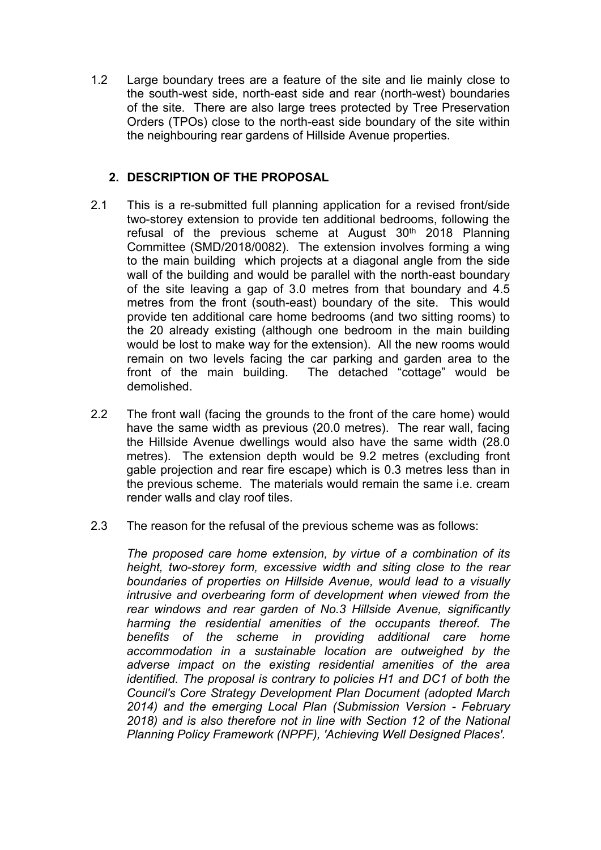1.2 Large boundary trees are a feature of the site and lie mainly close to the south-west side, north-east side and rear (north-west) boundaries of the site. There are also large trees protected by Tree Preservation Orders (TPOs) close to the north-east side boundary of the site within the neighbouring rear gardens of Hillside Avenue properties.

## **2. DESCRIPTION OF THE PROPOSAL**

- 2.1 This is a re-submitted full planning application for a revised front/side two-storey extension to provide ten additional bedrooms, following the refusal of the previous scheme at August  $30<sup>th</sup>$  2018 Planning Committee (SMD/2018/0082). The extension involves forming a wing to the main building which projects at a diagonal angle from the side wall of the building and would be parallel with the north-east boundary of the site leaving a gap of 3.0 metres from that boundary and 4.5 metres from the front (south-east) boundary of the site. This would provide ten additional care home bedrooms (and two sitting rooms) to the 20 already existing (although one bedroom in the main building would be lost to make way for the extension). All the new rooms would remain on two levels facing the car parking and garden area to the front of the main building. The detached "cottage" would be demolished.
- 2.2 The front wall (facing the grounds to the front of the care home) would have the same width as previous (20.0 metres). The rear wall, facing the Hillside Avenue dwellings would also have the same width (28.0 metres). The extension depth would be 9.2 metres (excluding front gable projection and rear fire escape) which is 0.3 metres less than in the previous scheme. The materials would remain the same i.e. cream render walls and clay roof tiles.
- 2.3 The reason for the refusal of the previous scheme was as follows:

*The proposed care home extension, by virtue of a combination of its height, two-storey form, excessive width and siting close to the rear boundaries of properties on Hillside Avenue, would lead to a visually intrusive and overbearing form of development when viewed from the rear windows and rear garden of No.3 Hillside Avenue, significantly harming the residential amenities of the occupants thereof. The benefits of the scheme in providing additional care home accommodation in a sustainable location are outweighed by the adverse impact on the existing residential amenities of the area identified. The proposal is contrary to policies H1 and DC1 of both the Council's Core Strategy Development Plan Document (adopted March 2014) and the emerging Local Plan (Submission Version - February 2018) and is also therefore not in line with Section 12 of the National Planning Policy Framework (NPPF), 'Achieving Well Designed Places'.*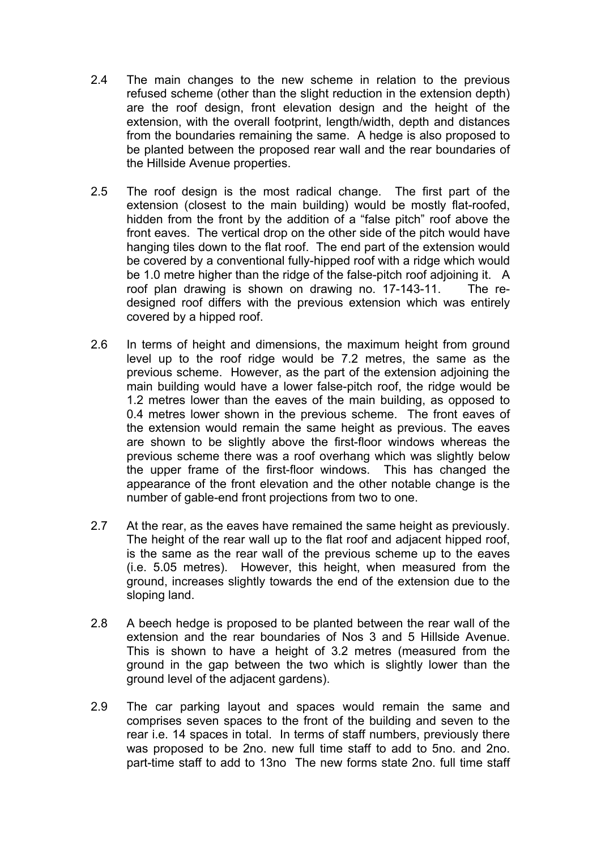- 2.4 The main changes to the new scheme in relation to the previous refused scheme (other than the slight reduction in the extension depth) are the roof design, front elevation design and the height of the extension, with the overall footprint, length/width, depth and distances from the boundaries remaining the same. A hedge is also proposed to be planted between the proposed rear wall and the rear boundaries of the Hillside Avenue properties.
- 2.5 The roof design is the most radical change. The first part of the extension (closest to the main building) would be mostly flat-roofed, hidden from the front by the addition of a "false pitch" roof above the front eaves. The vertical drop on the other side of the pitch would have hanging tiles down to the flat roof. The end part of the extension would be covered by a conventional fully-hipped roof with a ridge which would be 1.0 metre higher than the ridge of the false-pitch roof adjoining it. A roof plan drawing is shown on drawing no. 17-143-11. The redesigned roof differs with the previous extension which was entirely covered by a hipped roof.
- 2.6 In terms of height and dimensions, the maximum height from ground level up to the roof ridge would be 7.2 metres, the same as the previous scheme. However, as the part of the extension adjoining the main building would have a lower false-pitch roof, the ridge would be 1.2 metres lower than the eaves of the main building, as opposed to 0.4 metres lower shown in the previous scheme. The front eaves of the extension would remain the same height as previous. The eaves are shown to be slightly above the first-floor windows whereas the previous scheme there was a roof overhang which was slightly below the upper frame of the first-floor windows. This has changed the appearance of the front elevation and the other notable change is the number of gable-end front projections from two to one.
- 2.7 At the rear, as the eaves have remained the same height as previously. The height of the rear wall up to the flat roof and adjacent hipped roof, is the same as the rear wall of the previous scheme up to the eaves (i.e. 5.05 metres). However, this height, when measured from the ground, increases slightly towards the end of the extension due to the sloping land.
- 2.8 A beech hedge is proposed to be planted between the rear wall of the extension and the rear boundaries of Nos 3 and 5 Hillside Avenue. This is shown to have a height of 3.2 metres (measured from the ground in the gap between the two which is slightly lower than the ground level of the adjacent gardens).
- 2.9 The car parking layout and spaces would remain the same and comprises seven spaces to the front of the building and seven to the rear i.e. 14 spaces in total. In terms of staff numbers, previously there was proposed to be 2no. new full time staff to add to 5no. and 2no. part-time staff to add to 13no The new forms state 2no. full time staff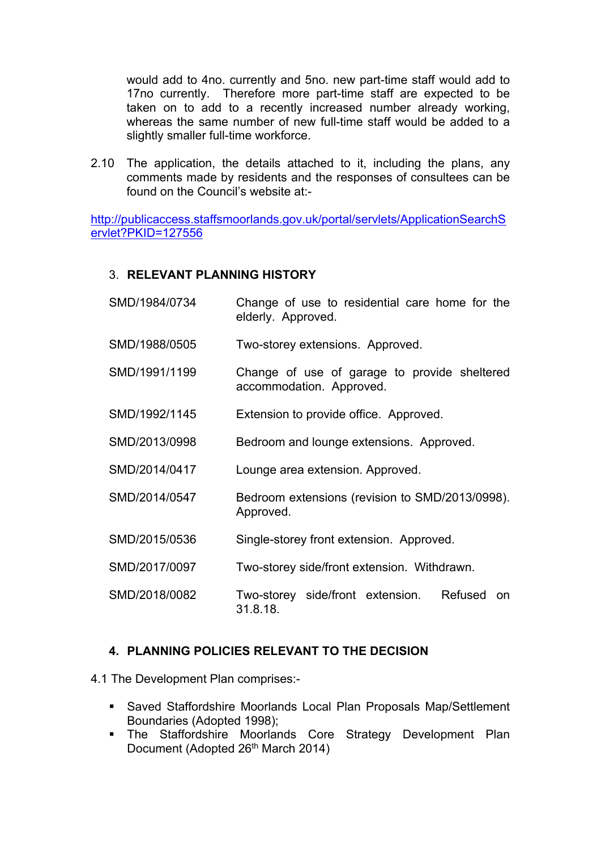would add to 4no. currently and 5no. new part-time staff would add to 17no currently. Therefore more part-time staff are expected to be taken on to add to a recently increased number already working, whereas the same number of new full-time staff would be added to a slightly smaller full-time workforce.

2.10 The application, the details attached to it, including the plans, any comments made by residents and the responses of consultees can be found on the Council's website at:-

[http://publicaccess.staffsmoorlands.gov.uk/portal/servlets/ApplicationSearchS](http://publicaccess.staffsmoorlands.gov.uk/portal/servlets/ApplicationSearchServlet?PKID=127556) [ervlet?PKID=127556](http://publicaccess.staffsmoorlands.gov.uk/portal/servlets/ApplicationSearchServlet?PKID=127556)

#### 3. **RELEVANT PLANNING HISTORY**

SMD/1984/0734 Change of use to residential care home for the elderly. Approved. SMD/1988/0505 Two-storey extensions. Approved. SMD/1991/1199 Change of use of garage to provide sheltered accommodation. Approved. SMD/1992/1145 Extension to provide office. Approved. SMD/2013/0998 Bedroom and lounge extensions. Approved. SMD/2014/0417 Lounge area extension. Approved. SMD/2014/0547 Bedroom extensions (revision to SMD/2013/0998). Approved. SMD/2015/0536 Single-storey front extension. Approved. SMD/2017/0097 Two-storey side/front extension. Withdrawn. SMD/2018/0082 Two-storey side/front extension. Refused on 31.8.18.

## **4. PLANNING POLICIES RELEVANT TO THE DECISION**

4.1 The Development Plan comprises:-

- Saved Staffordshire Moorlands Local Plan Proposals Map/Settlement Boundaries (Adopted 1998);
- The Staffordshire Moorlands Core Strategy Development Plan Document (Adopted 26<sup>th</sup> March 2014)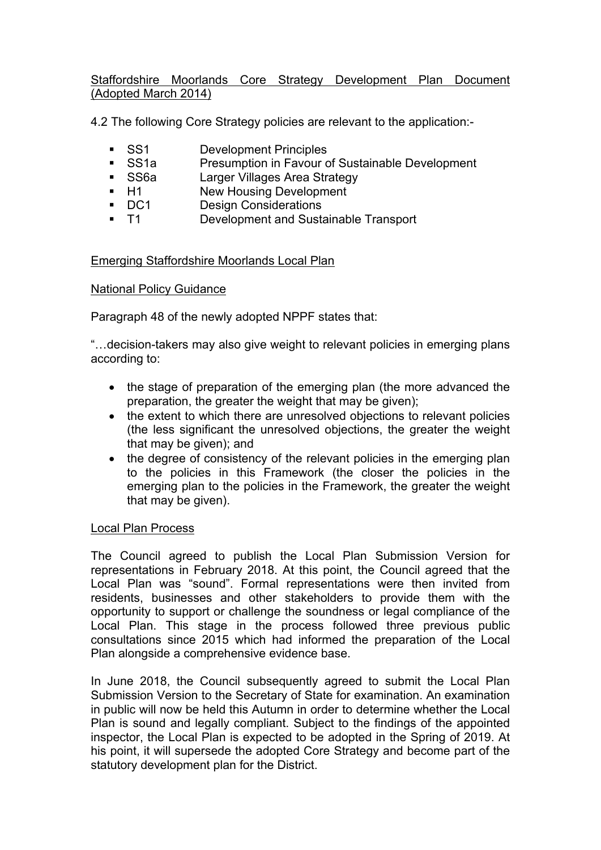Staffordshire Moorlands Core Strategy Development Plan Document (Adopted March 2014)

4.2 The following Core Strategy policies are relevant to the application:-

- **SS1** Development Principles
- SS1a Presumption in Favour of Sustainable Development
- **SS6a** Larger Villages Area Strategy<br> **EXEC** H1 New Housing Development
- New Housing Development
- DC1 Design Considerations
- T1 Development and Sustainable Transport

## Emerging Staffordshire Moorlands Local Plan

## National Policy Guidance

Paragraph 48 of the newly adopted NPPF states that:

"…decision-takers may also give weight to relevant policies in emerging plans according to:

- the stage of preparation of the emerging plan (the more advanced the preparation, the greater the weight that may be given);
- the extent to which there are unresolved objections to relevant policies (the less significant the unresolved objections, the greater the weight that may be given); and
- the degree of consistency of the relevant policies in the emerging plan to the policies in this Framework (the closer the policies in the emerging plan to the policies in the Framework, the greater the weight that may be given).

## Local Plan Process

The Council agreed to publish the Local Plan Submission Version for representations in February 2018. At this point, the Council agreed that the Local Plan was "sound". Formal representations were then invited from residents, businesses and other stakeholders to provide them with the opportunity to support or challenge the soundness or legal compliance of the Local Plan. This stage in the process followed three previous public consultations since 2015 which had informed the preparation of the Local Plan alongside a comprehensive evidence base.

In June 2018, the Council subsequently agreed to submit the Local Plan Submission Version to the Secretary of State for examination. An examination in public will now be held this Autumn in order to determine whether the Local Plan is sound and legally compliant. Subject to the findings of the appointed inspector, the Local Plan is expected to be adopted in the Spring of 2019. At his point, it will supersede the adopted Core Strategy and become part of the statutory development plan for the District.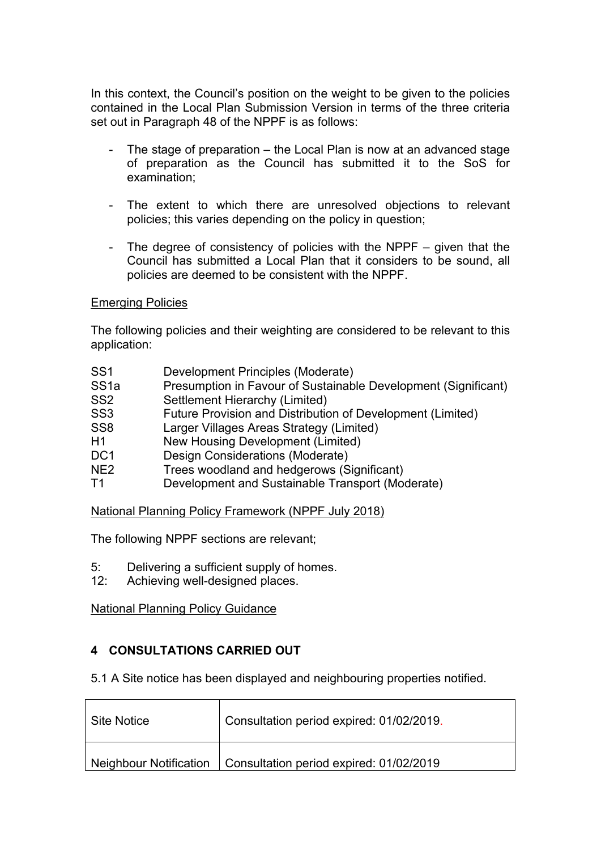In this context, the Council's position on the weight to be given to the policies contained in the Local Plan Submission Version in terms of the three criteria set out in Paragraph 48 of the NPPF is as follows:

- The stage of preparation the Local Plan is now at an advanced stage of preparation as the Council has submitted it to the SoS for examination;
- The extent to which there are unresolved objections to relevant policies; this varies depending on the policy in question;
- The degree of consistency of policies with the NPPF given that the Council has submitted a Local Plan that it considers to be sound, all policies are deemed to be consistent with the NPPF.

#### Emerging Policies

The following policies and their weighting are considered to be relevant to this application:

- SS1 Development Principles (Moderate)
- SS1a Presumption in Favour of Sustainable Development (Significant)
- SS2 Settlement Hierarchy (Limited)
- SS3 Future Provision and Distribution of Development (Limited)
- SS8 Larger Villages Areas Strategy (Limited)
- H1 New Housing Development (Limited)
- DC1 Design Considerations (Moderate)
- NE2 Trees woodland and hedgerows (Significant)
- T1 Development and Sustainable Transport (Moderate)

National Planning Policy Framework (NPPF July 2018)

The following NPPF sections are relevant;

- 5: Delivering a sufficient supply of homes.
- 12: Achieving well-designed places.

National Planning Policy Guidance

## **4 CONSULTATIONS CARRIED OUT**

5.1 A Site notice has been displayed and neighbouring properties notified.

| ∣ Site Notice i | Consultation period expired: 01/02/2019.                         |
|-----------------|------------------------------------------------------------------|
|                 | Neighbour Notification   Consultation period expired: 01/02/2019 |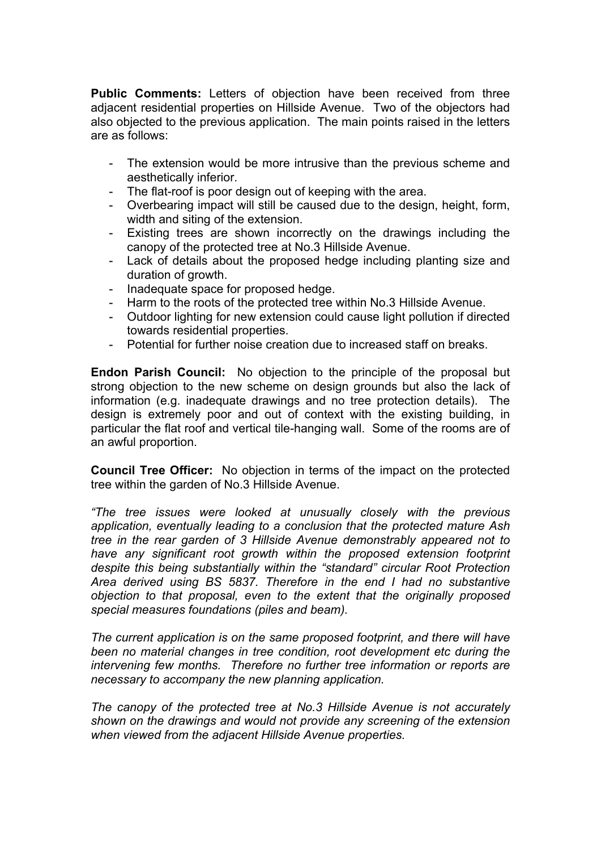**Public Comments:** Letters of objection have been received from three adjacent residential properties on Hillside Avenue. Two of the objectors had also objected to the previous application. The main points raised in the letters are as follows:

- The extension would be more intrusive than the previous scheme and aesthetically inferior.
- The flat-roof is poor design out of keeping with the area.
- Overbearing impact will still be caused due to the design, height, form, width and siting of the extension.
- Existing trees are shown incorrectly on the drawings including the canopy of the protected tree at No.3 Hillside Avenue.
- Lack of details about the proposed hedge including planting size and duration of growth.
- Inadequate space for proposed hedge.
- Harm to the roots of the protected tree within No.3 Hillside Avenue.
- Outdoor lighting for new extension could cause light pollution if directed towards residential properties.
- Potential for further noise creation due to increased staff on breaks.

**Endon Parish Council:** No objection to the principle of the proposal but strong objection to the new scheme on design grounds but also the lack of information (e.g. inadequate drawings and no tree protection details). The design is extremely poor and out of context with the existing building, in particular the flat roof and vertical tile-hanging wall. Some of the rooms are of an awful proportion.

**Council Tree Officer:** No objection in terms of the impact on the protected tree within the garden of No.3 Hillside Avenue.

*"The tree issues were looked at unusually closely with the previous application, eventually leading to a conclusion that the protected mature Ash tree in the rear garden of 3 Hillside Avenue demonstrably appeared not to have any significant root growth within the proposed extension footprint despite this being substantially within the "standard" circular Root Protection Area derived using BS 5837. Therefore in the end I had no substantive objection to that proposal, even to the extent that the originally proposed special measures foundations (piles and beam).* 

*The current application is on the same proposed footprint, and there will have been no material changes in tree condition, root development etc during the intervening few months. Therefore no further tree information or reports are necessary to accompany the new planning application.*

*The canopy of the protected tree at No.3 Hillside Avenue is not accurately shown on the drawings and would not provide any screening of the extension when viewed from the adjacent Hillside Avenue properties.*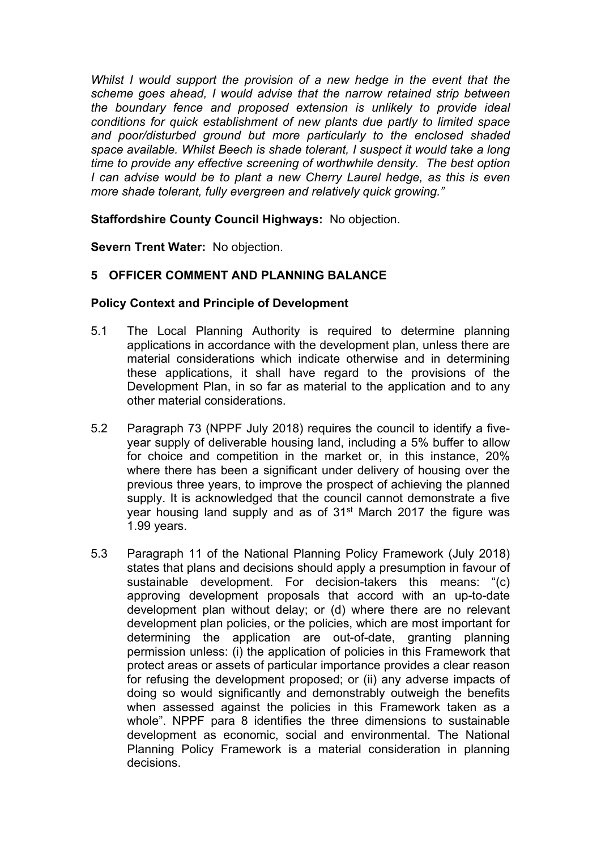*Whilst I would support the provision of a new hedge in the event that the scheme goes ahead, I would advise that the narrow retained strip between the boundary fence and proposed extension is unlikely to provide ideal conditions for quick establishment of new plants due partly to limited space and poor/disturbed ground but more particularly to the enclosed shaded space available. Whilst Beech is shade tolerant, I suspect it would take a long time to provide any effective screening of worthwhile density. The best option I can advise would be to plant a new Cherry Laurel hedge, as this is even more shade tolerant, fully evergreen and relatively quick growing."*

**Staffordshire County Council Highways:** No objection.

**Severn Trent Water:** No objection.

# **5 OFFICER COMMENT AND PLANNING BALANCE**

## **Policy Context and Principle of Development**

- 5.1 The Local Planning Authority is required to determine planning applications in accordance with the development plan, unless there are material considerations which indicate otherwise and in determining these applications, it shall have regard to the provisions of the Development Plan, in so far as material to the application and to any other material considerations.
- 5.2 Paragraph 73 (NPPF July 2018) requires the council to identify a fiveyear supply of deliverable housing land, including a 5% buffer to allow for choice and competition in the market or, in this instance, 20% where there has been a significant under delivery of housing over the previous three years, to improve the prospect of achieving the planned supply. It is acknowledged that the council cannot demonstrate a five year housing land supply and as of 31<sup>st</sup> March 2017 the figure was 1.99 years.
- 5.3 Paragraph 11 of the National Planning Policy Framework (July 2018) states that plans and decisions should apply a presumption in favour of sustainable development. For decision-takers this means: "(c) approving development proposals that accord with an up-to-date development plan without delay; or (d) where there are no relevant development plan policies, or the policies, which are most important for determining the application are out-of-date, granting planning permission unless: (i) the application of policies in this Framework that protect areas or assets of particular importance provides a clear reason for refusing the development proposed; or (ii) any adverse impacts of doing so would significantly and demonstrably outweigh the benefits when assessed against the policies in this Framework taken as a whole". NPPF para 8 identifies the three dimensions to sustainable development as economic, social and environmental. The National Planning Policy Framework is a material consideration in planning decisions.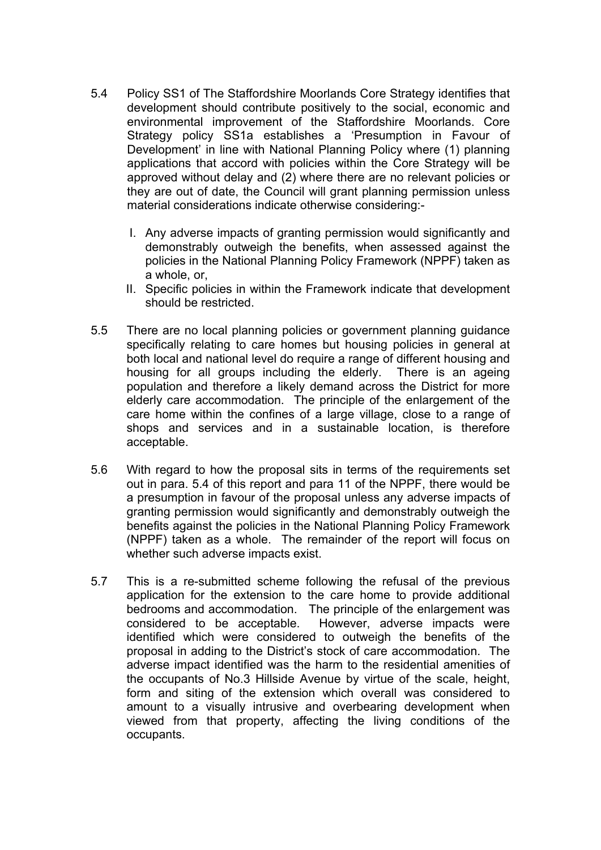- 5.4 Policy SS1 of The Staffordshire Moorlands Core Strategy identifies that development should contribute positively to the social, economic and environmental improvement of the Staffordshire Moorlands. Core Strategy policy SS1a establishes a 'Presumption in Favour of Development' in line with National Planning Policy where (1) planning applications that accord with policies within the Core Strategy will be approved without delay and (2) where there are no relevant policies or they are out of date, the Council will grant planning permission unless material considerations indicate otherwise considering:-
	- I. Any adverse impacts of granting permission would significantly and demonstrably outweigh the benefits, when assessed against the policies in the National Planning Policy Framework (NPPF) taken as a whole, or,
	- II. Specific policies in within the Framework indicate that development should be restricted.
- 5.5 There are no local planning policies or government planning guidance specifically relating to care homes but housing policies in general at both local and national level do require a range of different housing and housing for all groups including the elderly. There is an ageing population and therefore a likely demand across the District for more elderly care accommodation. The principle of the enlargement of the care home within the confines of a large village, close to a range of shops and services and in a sustainable location, is therefore acceptable.
- 5.6 With regard to how the proposal sits in terms of the requirements set out in para. 5.4 of this report and para 11 of the NPPF, there would be a presumption in favour of the proposal unless any adverse impacts of granting permission would significantly and demonstrably outweigh the benefits against the policies in the National Planning Policy Framework (NPPF) taken as a whole. The remainder of the report will focus on whether such adverse impacts exist.
- 5.7 This is a re-submitted scheme following the refusal of the previous application for the extension to the care home to provide additional bedrooms and accommodation. The principle of the enlargement was considered to be acceptable. However, adverse impacts were identified which were considered to outweigh the benefits of the proposal in adding to the District's stock of care accommodation. The adverse impact identified was the harm to the residential amenities of the occupants of No.3 Hillside Avenue by virtue of the scale, height, form and siting of the extension which overall was considered to amount to a visually intrusive and overbearing development when viewed from that property, affecting the living conditions of the occupants.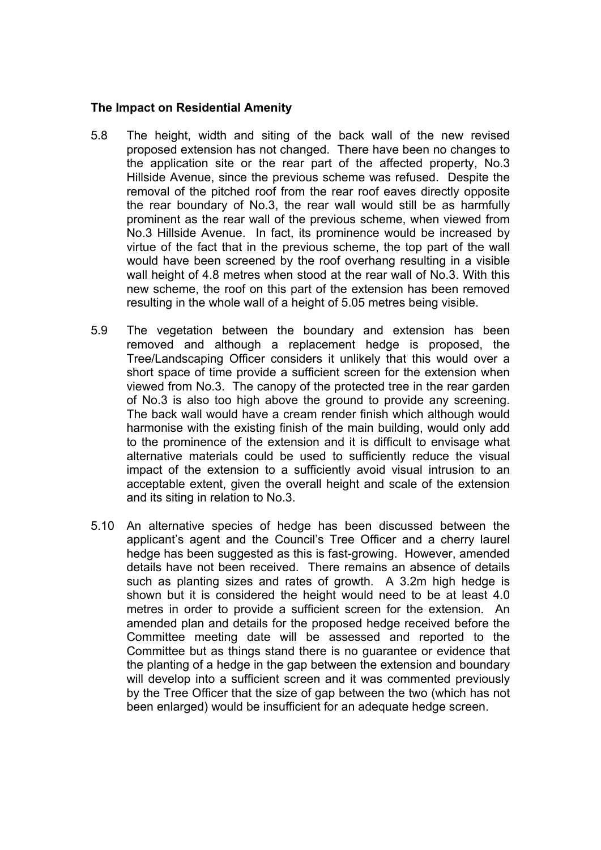#### **The Impact on Residential Amenity**

- 5.8 The height, width and siting of the back wall of the new revised proposed extension has not changed. There have been no changes to the application site or the rear part of the affected property, No.3 Hillside Avenue, since the previous scheme was refused. Despite the removal of the pitched roof from the rear roof eaves directly opposite the rear boundary of No.3, the rear wall would still be as harmfully prominent as the rear wall of the previous scheme, when viewed from No.3 Hillside Avenue. In fact, its prominence would be increased by virtue of the fact that in the previous scheme, the top part of the wall would have been screened by the roof overhang resulting in a visible wall height of 4.8 metres when stood at the rear wall of No.3. With this new scheme, the roof on this part of the extension has been removed resulting in the whole wall of a height of 5.05 metres being visible.
- 5.9 The vegetation between the boundary and extension has been removed and although a replacement hedge is proposed, the Tree/Landscaping Officer considers it unlikely that this would over a short space of time provide a sufficient screen for the extension when viewed from No.3. The canopy of the protected tree in the rear garden of No.3 is also too high above the ground to provide any screening. The back wall would have a cream render finish which although would harmonise with the existing finish of the main building, would only add to the prominence of the extension and it is difficult to envisage what alternative materials could be used to sufficiently reduce the visual impact of the extension to a sufficiently avoid visual intrusion to an acceptable extent, given the overall height and scale of the extension and its siting in relation to No.3.
- 5.10 An alternative species of hedge has been discussed between the applicant's agent and the Council's Tree Officer and a cherry laurel hedge has been suggested as this is fast-growing. However, amended details have not been received. There remains an absence of details such as planting sizes and rates of growth. A 3.2m high hedge is shown but it is considered the height would need to be at least 4.0 metres in order to provide a sufficient screen for the extension. An amended plan and details for the proposed hedge received before the Committee meeting date will be assessed and reported to the Committee but as things stand there is no guarantee or evidence that the planting of a hedge in the gap between the extension and boundary will develop into a sufficient screen and it was commented previously by the Tree Officer that the size of gap between the two (which has not been enlarged) would be insufficient for an adequate hedge screen.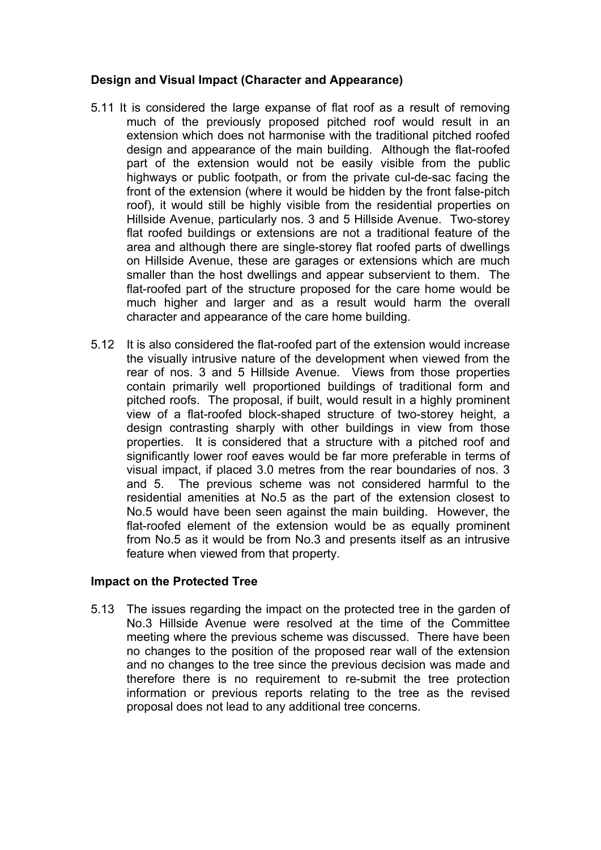## **Design and Visual Impact (Character and Appearance)**

- 5.11 It is considered the large expanse of flat roof as a result of removing much of the previously proposed pitched roof would result in an extension which does not harmonise with the traditional pitched roofed design and appearance of the main building. Although the flat-roofed part of the extension would not be easily visible from the public highways or public footpath, or from the private cul-de-sac facing the front of the extension (where it would be hidden by the front false-pitch roof), it would still be highly visible from the residential properties on Hillside Avenue, particularly nos. 3 and 5 Hillside Avenue. Two-storey flat roofed buildings or extensions are not a traditional feature of the area and although there are single-storey flat roofed parts of dwellings on Hillside Avenue, these are garages or extensions which are much smaller than the host dwellings and appear subservient to them. The flat-roofed part of the structure proposed for the care home would be much higher and larger and as a result would harm the overall character and appearance of the care home building.
- 5.12 It is also considered the flat-roofed part of the extension would increase the visually intrusive nature of the development when viewed from the rear of nos. 3 and 5 Hillside Avenue. Views from those properties contain primarily well proportioned buildings of traditional form and pitched roofs. The proposal, if built, would result in a highly prominent view of a flat-roofed block-shaped structure of two-storey height, a design contrasting sharply with other buildings in view from those properties. It is considered that a structure with a pitched roof and significantly lower roof eaves would be far more preferable in terms of visual impact, if placed 3.0 metres from the rear boundaries of nos. 3 and 5. The previous scheme was not considered harmful to the residential amenities at No.5 as the part of the extension closest to No.5 would have been seen against the main building. However, the flat-roofed element of the extension would be as equally prominent from No.5 as it would be from No.3 and presents itself as an intrusive feature when viewed from that property.

## **Impact on the Protected Tree**

5.13 The issues regarding the impact on the protected tree in the garden of No.3 Hillside Avenue were resolved at the time of the Committee meeting where the previous scheme was discussed. There have been no changes to the position of the proposed rear wall of the extension and no changes to the tree since the previous decision was made and therefore there is no requirement to re-submit the tree protection information or previous reports relating to the tree as the revised proposal does not lead to any additional tree concerns.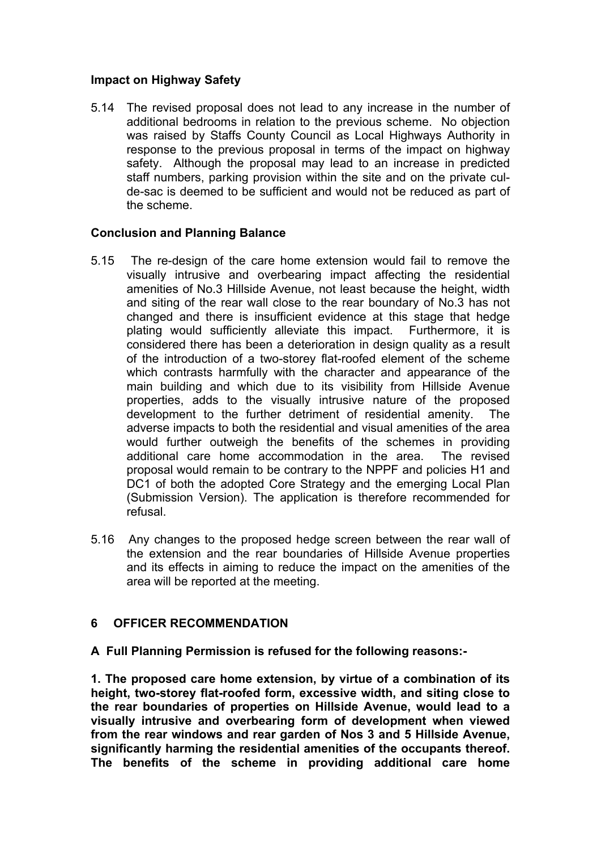## **Impact on Highway Safety**

5.14 The revised proposal does not lead to any increase in the number of additional bedrooms in relation to the previous scheme. No objection was raised by Staffs County Council as Local Highways Authority in response to the previous proposal in terms of the impact on highway safety. Although the proposal may lead to an increase in predicted staff numbers, parking provision within the site and on the private culde-sac is deemed to be sufficient and would not be reduced as part of the scheme.

## **Conclusion and Planning Balance**

- 5.15 The re-design of the care home extension would fail to remove the visually intrusive and overbearing impact affecting the residential amenities of No.3 Hillside Avenue, not least because the height, width and siting of the rear wall close to the rear boundary of No.3 has not changed and there is insufficient evidence at this stage that hedge plating would sufficiently alleviate this impact. Furthermore, it is considered there has been a deterioration in design quality as a result of the introduction of a two-storey flat-roofed element of the scheme which contrasts harmfully with the character and appearance of the main building and which due to its visibility from Hillside Avenue properties, adds to the visually intrusive nature of the proposed development to the further detriment of residential amenity. The adverse impacts to both the residential and visual amenities of the area would further outweigh the benefits of the schemes in providing additional care home accommodation in the area. The revised proposal would remain to be contrary to the NPPF and policies H1 and DC1 of both the adopted Core Strategy and the emerging Local Plan (Submission Version). The application is therefore recommended for refusal.
- 5.16 Any changes to the proposed hedge screen between the rear wall of the extension and the rear boundaries of Hillside Avenue properties and its effects in aiming to reduce the impact on the amenities of the area will be reported at the meeting.

# **6 OFFICER RECOMMENDATION**

**A Full Planning Permission is refused for the following reasons:-**

**1. The proposed care home extension, by virtue of a combination of its height, two-storey flat-roofed form, excessive width, and siting close to the rear boundaries of properties on Hillside Avenue, would lead to a visually intrusive and overbearing form of development when viewed from the rear windows and rear garden of Nos 3 and 5 Hillside Avenue, significantly harming the residential amenities of the occupants thereof. The benefits of the scheme in providing additional care home**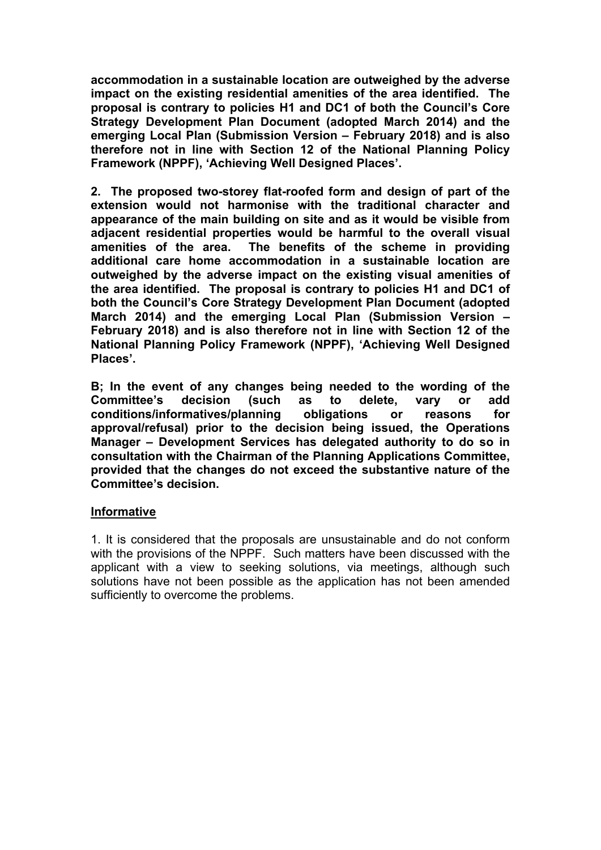**accommodation in a sustainable location are outweighed by the adverse impact on the existing residential amenities of the area identified. The proposal is contrary to policies H1 and DC1 of both the Council's Core Strategy Development Plan Document (adopted March 2014) and the emerging Local Plan (Submission Version – February 2018) and is also therefore not in line with Section 12 of the National Planning Policy Framework (NPPF), 'Achieving Well Designed Places'.**

**2. The proposed two-storey flat-roofed form and design of part of the extension would not harmonise with the traditional character and appearance of the main building on site and as it would be visible from adjacent residential properties would be harmful to the overall visual amenities of the area. The benefits of the scheme in providing additional care home accommodation in a sustainable location are outweighed by the adverse impact on the existing visual amenities of the area identified. The proposal is contrary to policies H1 and DC1 of both the Council's Core Strategy Development Plan Document (adopted March 2014) and the emerging Local Plan (Submission Version – February 2018) and is also therefore not in line with Section 12 of the National Planning Policy Framework (NPPF), 'Achieving Well Designed Places'.**

**B; In the event of any changes being needed to the wording of the Committee's decision (such as to delete, vary or add conditions/informatives/planning obligations or reasons for approval/refusal) prior to the decision being issued, the Operations Manager – Development Services has delegated authority to do so in consultation with the Chairman of the Planning Applications Committee, provided that the changes do not exceed the substantive nature of the Committee's decision.**

## **Informative**

1. It is considered that the proposals are unsustainable and do not conform with the provisions of the NPPF. Such matters have been discussed with the applicant with a view to seeking solutions, via meetings, although such solutions have not been possible as the application has not been amended sufficiently to overcome the problems.